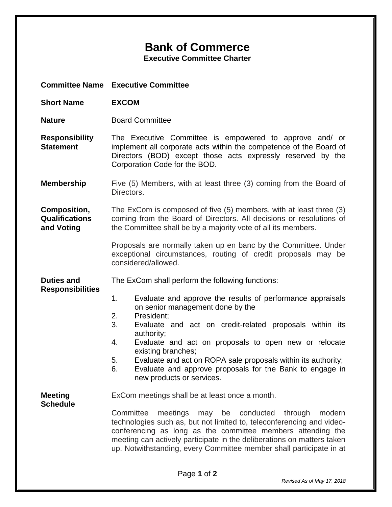## **Bank of Commerce**

**Executive Committee Charter**

**Committee Name Executive Committee**

- **Short Name EXCOM**
- **Nature Board Committee**

**Responsibility Statement** The Executive Committee is empowered to approve and/ or implement all corporate acts within the competence of the Board of Directors (BOD) except those acts expressly reserved by the Corporation Code for the BOD.

**Membership** Five (5) Members, with at least three (3) coming from the Board of Directors.

**Composition, Qualifications and Voting** The ExCom is composed of five (5) members, with at least three (3) coming from the Board of Directors. All decisions or resolutions of the Committee shall be by a majority vote of all its members.

> Proposals are normally taken up en banc by the Committee. Under exceptional circumstances, routing of credit proposals may be considered/allowed.

**Duties and**  The ExCom shall perform the following functions:

- **Responsibilities**
- 1. Evaluate and approve the results of performance appraisals on senior management done by the
- 2. President;
- 3. Evaluate and act on credit-related proposals within its authority;
- 4. Evaluate and act on proposals to open new or relocate existing branches;
- 5. Evaluate and act on ROPA sale proposals within its authority;
- 6. Evaluate and approve proposals for the Bank to engage in new products or services.

**Meeting Schedule** ExCom meetings shall be at least once a month.

Committee meetings may be conducted through modern technologies such as, but not limited to, teleconferencing and videoconferencing as long as the committee members attending the meeting can actively participate in the deliberations on matters taken up. Notwithstanding, every Committee member shall participate in at